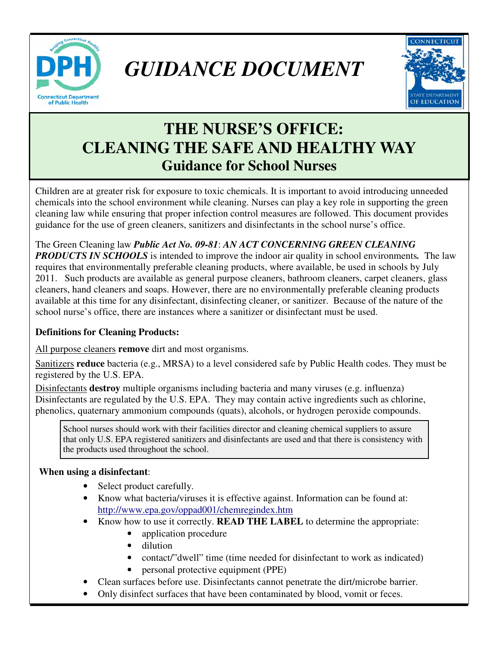

 *GUIDANCE DOCUMENT* 



# **THE NURSE'S OFFICE: CLEANING THE SAFE AND HEALTHY WAY Guidance for School Nurses**

Children are at greater risk for exposure to toxic chemicals. It is important to avoid introducing unneeded chemicals into the school environment while cleaning. Nurses can play a key role in supporting the green cleaning law while ensuring that proper infection control measures are followed. This document provides guidance for the use of green cleaners, sanitizers and disinfectants in the school nurse's office.

The Green Cleaning law *Public Act No. 09-81*: *AN ACT CONCERNING GREEN CLEANING PRODUCTS IN SCHOOLS* is intended to improve the indoor air quality in school environments*.* The law requires that environmentally preferable cleaning products, where available, be used in schools by July 2011. Such products are available as general purpose cleaners, bathroom cleaners, carpet cleaners, glass

cleaners, hand cleaners and soaps. However, there are no environmentally preferable cleaning products available at this time for any disinfectant, disinfecting cleaner, or sanitizer. Because of the nature of the school nurse's office, there are instances where a sanitizer or disinfectant must be used.

### **Definitions for Cleaning Products:**

All purpose cleaners **remove** dirt and most organisms.

Sanitizers **reduce** bacteria (e.g., MRSA) to a level considered safe by Public Health codes. They must be registered by the U.S. EPA.

Disinfectants **destroy** multiple organisms including bacteria and many viruses (e.g. influenza) Disinfectants are regulated by the U.S. EPA. They may contain active ingredients such as chlorine, phenolics, quaternary ammonium compounds (quats), alcohols, or hydrogen peroxide compounds.

School nurses should work with their facilities director and cleaning chemical suppliers to assure that only U.S. EPA registered sanitizers and disinfectants are used and that there is consistency with the products used throughout the school.

#### **When using a disinfectant**:

- Select product carefully.
- Know what bacteria/viruses it is effective against. Information can be found at: http://www.epa.gov/oppad001/chemregindex.htm
- Know how to use it correctly. **READ THE LABEL** to determine the appropriate:
	- application procedure
	- dilution
	- contact/"dwell" time (time needed for disinfectant to work as indicated)
	- personal protective equipment (PPE)
- Clean surfaces before use. Disinfectants cannot penetrate the dirt/microbe barrier.
- Only disinfect surfaces that have been contaminated by blood, vomit or feces.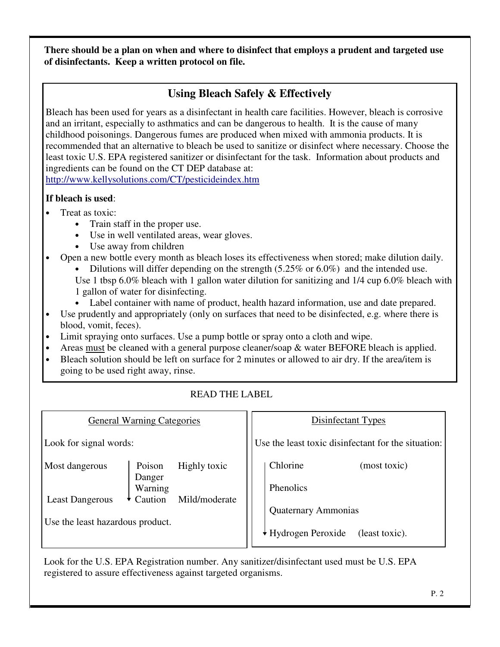**There should be a plan on when and where to disinfect that employs a prudent and targeted use of disinfectants. Keep a written protocol on file.** 

## **Using Bleach Safely & Effectively**

Bleach has been used for years as a disinfectant in health care facilities. However, bleach is corrosive and an irritant, especially to asthmatics and can be dangerous to health. It is the cause of many childhood poisonings. Dangerous fumes are produced when mixed with ammonia products. It is recommended that an alternative to bleach be used to sanitize or disinfect where necessary. Choose the least toxic U.S. EPA registered sanitizer or disinfectant for the task. Information about products and ingredients can be found on the CT DEP database at: http://www.kellysolutions.com/CT/pesticideindex.htm

#### **If bleach is used**:

- Treat as toxic:
	- Train staff in the proper use.
	- Use in well ventilated areas, wear gloves.
	- Use away from children
- Open a new bottle every month as bleach loses its effectiveness when stored; make dilution daily.
	- Dilutions will differ depending on the strength  $(5.25\% \text{ or } 6.0\%)$  and the intended use. Use 1 tbsp 6.0% bleach with 1 gallon water dilution for sanitizing and 1/4 cup 6.0% bleach with 1 gallon of water for disinfecting.
	- Label container with name of product, health hazard information, use and date prepared.
- Use prudently and appropriately (only on surfaces that need to be disinfected, e.g. where there is blood, vomit, feces).
- Limit spraying onto surfaces. Use a pump bottle or spray onto a cloth and wipe.
- Areas must be cleaned with a general purpose cleaner/soap  $\&$  water BEFORE bleach is applied.
- Bleach solution should be left on surface for 2 minutes or allowed to air dry. If the area/item is going to be used right away, rinse.

#### READ THE LABEL

| <b>General Warning Categories</b>        |                                                                         | Disinfectant Types                                                         |
|------------------------------------------|-------------------------------------------------------------------------|----------------------------------------------------------------------------|
| Look for signal words:                   |                                                                         | Use the least toxic disinfectant for the situation:                        |
| Most dangerous<br><b>Least Dangerous</b> | Poison<br>Highly toxic<br>Danger<br>Warning<br>Mild/moderate<br>Caution | Chlorine<br>(most toxic)<br><b>Phenolics</b><br><b>Quaternary Ammonias</b> |
| Use the least hazardous product.         |                                                                         | ◆ Hydrogen Peroxide<br>(least toxic).                                      |

Look for the U.S. EPA Registration number. Any sanitizer/disinfectant used must be U.S. EPA registered to assure effectiveness against targeted organisms.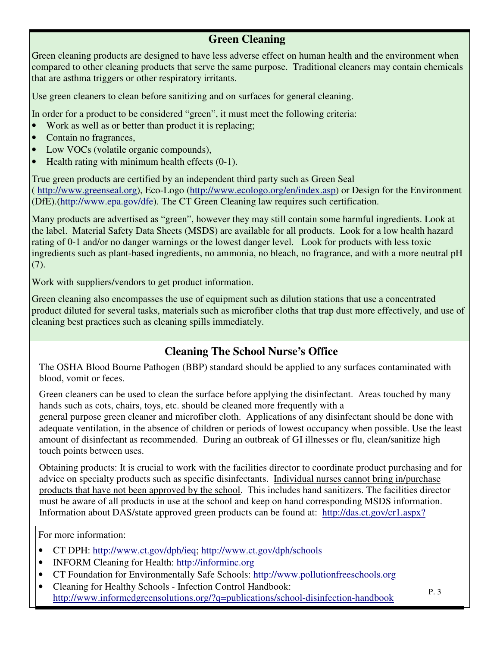## **Green Cleaning**

Green cleaning products are designed to have less adverse effect on human health and the environment when compared to other cleaning products that serve the same purpose. Traditional cleaners may contain chemicals that are asthma triggers or other respiratory irritants.

Use green cleaners to clean before sanitizing and on surfaces for general cleaning.

In order for a product to be considered "green", it must meet the following criteria:

- Work as well as or better than product it is replacing;
- Contain no fragrances,
- Low VOCs (volatile organic compounds),
- Health rating with minimum health effects  $(0-1)$ .

True green products are certified by an independent third party such as Green Seal ( http://www.greenseal.org), Eco-Logo (http://www.ecologo.org/en/index.asp) or Design for the Environment (DfE).(http://www.epa.gov/dfe). The CT Green Cleaning law requires such certification.

Many products are advertised as "green", however they may still contain some harmful ingredients. Look at the label. Material Safety Data Sheets (MSDS) are available for all products. Look for a low health hazard rating of 0-1 and/or no danger warnings or the lowest danger level. Look for products with less toxic ingredients such as plant-based ingredients, no ammonia, no bleach, no fragrance, and with a more neutral pH (7).

Work with suppliers/vendors to get product information.

Green cleaning also encompasses the use of equipment such as dilution stations that use a concentrated product diluted for several tasks, materials such as microfiber cloths that trap dust more effectively, and use of cleaning best practices such as cleaning spills immediately.

## **Cleaning The School Nurse's Office**

The OSHA Blood Bourne Pathogen (BBP) standard should be applied to any surfaces contaminated with blood, vomit or feces.

Green cleaners can be used to clean the surface before applying the disinfectant. Areas touched by many hands such as cots, chairs, toys, etc. should be cleaned more frequently with a

general purpose green cleaner and microfiber cloth. Applications of any disinfectant should be done with adequate ventilation, in the absence of children or periods of lowest occupancy when possible. Use the least amount of disinfectant as recommended. During an outbreak of GI illnesses or flu, clean/sanitize high touch points between uses.

Obtaining products: It is crucial to work with the facilities director to coordinate product purchasing and for advice on specialty products such as specific disinfectants. Individual nurses cannot bring in/purchase products that have not been approved by the school. This includes hand sanitizers. The facilities director must be aware of all products in use at the school and keep on hand corresponding MSDS information. Information about DAS/state approved green products can be found at: http://das.ct.gov/cr1.aspx?

For more information:

- CT DPH: http://www.ct.gov/dph/ieq; http://www.ct.gov/dph/schools
- INFORM Cleaning for Health: http://informinc.org
- CT Foundation for Environmentally Safe Schools: http://www.pollutionfreeschools.org
- Cleaning for Healthy Schools Infection Control Handbook: http://www.informedgreensolutions.org/?q=publications/school-disinfection-handbook